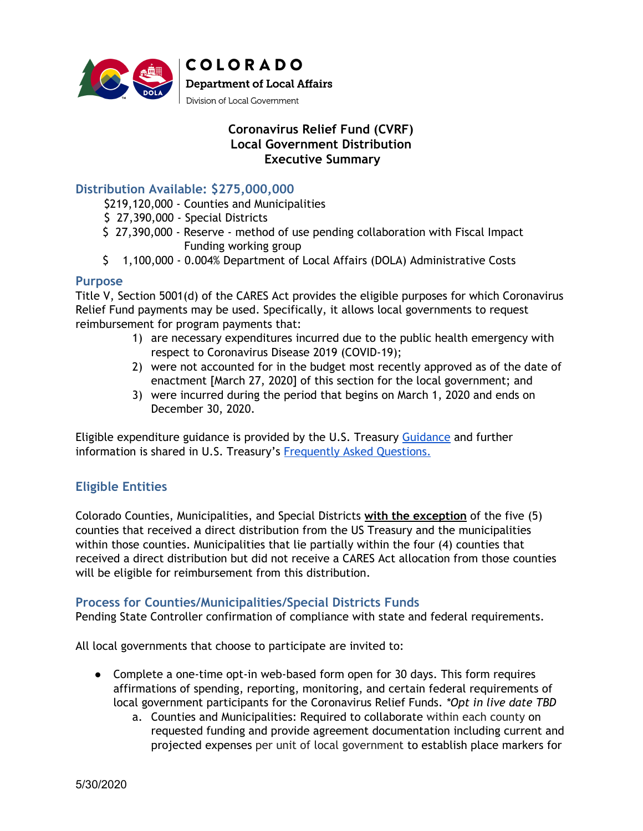

## **Coronavirus Relief Fund (CVRF) Local Government Distribution Executive Summary**

### **Distribution Available: \$275,000,000**

- \$219,120,000 Counties and Municipalities
- \$ 27,390,000 Special Districts
- \$ 27,390,000 Reserve method of use pending collaboration with Fiscal Impact Funding working group
- \$ 1,100,000 0.004% Department of Local Affairs (DOLA) Administrative Costs

#### **Purpose**

Title V, Section 5001(d) of the CARES Act provides the eligible purposes for which Coronavirus Relief Fund payments may be used. Specifically, it allows local governments to request reimbursement for program payments that:

- 1) are necessary expenditures incurred due to the public health emergency with respect to Coronavirus Disease 2019 (COVID-19);
- 2) were not accounted for in the budget most recently approved as of the date of enactment [March 27, 2020] of this section for the local government; and
- 3) were incurred during the period that begins on March 1, 2020 and ends on December 30, 2020.

Eligible expenditure guidance is provided by the U.S. Treasury [Guidance](https://home.treasury.gov/system/files/136/Coronavirus-Relief-Fund-Guidance-for-State-Territorial-Local-and-Tribal-Governments.pdf) and further information is shared in U.S. Treasury's [Frequently](https://home.treasury.gov/system/files/136/Coronavirus-Relief-Fund-Frequently-Asked-Questions.pdf) Asked Questions.

# **Eligible Entities**

Colorado Counties, Municipalities, and Special Districts **with the exception** of the five (5) counties that received a direct distribution from the US Treasury and the municipalities within those counties. Municipalities that lie partially within the four (4) counties that received a direct distribution but did not receive a CARES Act allocation from those counties will be eligible for reimbursement from this distribution.

#### **Process for Counties/Municipalities/Special Districts Funds**

Pending State Controller confirmation of compliance with state and federal requirements.

All local governments that choose to participate are invited to:

- Complete a one-time opt-in web-based form open for 30 days. This form requires affirmations of spending, reporting, monitoring, and certain federal requirements of local government participants for the Coronavirus Relief Funds. *\*Opt in live date TBD*
	- a. Counties and Municipalities: Required to collaborate within each county on requested funding and provide agreement documentation including current and projected expenses per unit of local government to establish place markers for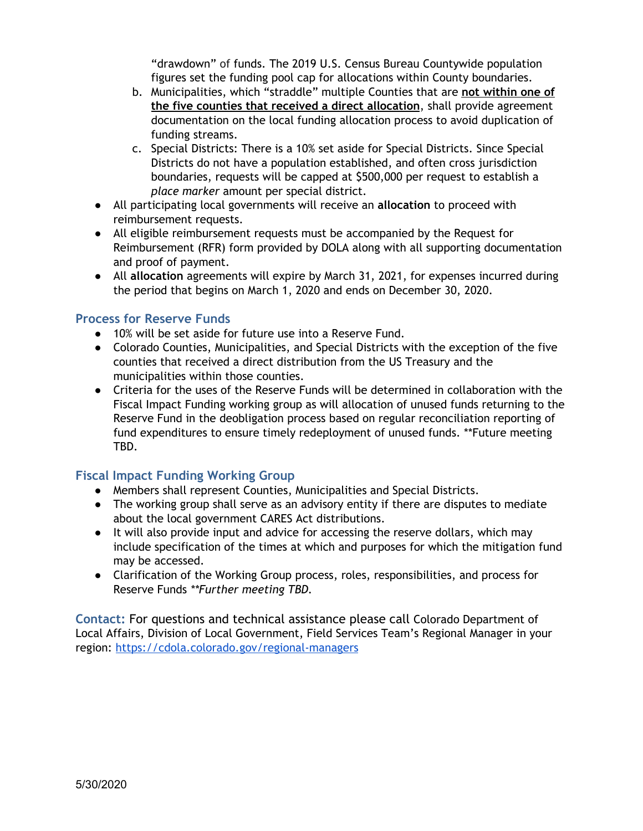"drawdown" of funds. The 2019 U.S. Census Bureau Countywide population figures set the funding pool cap for allocations within County boundaries.

- b. Municipalities, which "straddle" multiple Counties that are **not within one of the five counties that received a direct allocation**, shall provide agreement documentation on the local funding allocation process to avoid duplication of funding streams.
- c. Special Districts: There is a 10% set aside for Special Districts. Since Special Districts do not have a population established, and often cross jurisdiction boundaries, requests will be capped at \$500,000 per request to establish a *place marker* amount per special district.
- All participating local governments will receive an **allocation** to proceed with reimbursement requests.
- All eligible reimbursement requests must be accompanied by the Request for Reimbursement (RFR) form provided by DOLA along with all supporting documentation and proof of payment.
- All **allocation** agreements will expire by March 31, 2021, for expenses incurred during the period that begins on March 1, 2020 and ends on December 30, 2020.

## **Process for Reserve Funds**

- 10% will be set aside for future use into a Reserve Fund.
- Colorado Counties, Municipalities, and Special Districts with the exception of the five counties that received a direct distribution from the US Treasury and the municipalities within those counties.
- Criteria for the uses of the Reserve Funds will be determined in collaboration with the Fiscal Impact Funding working group as will allocation of unused funds returning to the Reserve Fund in the deobligation process based on regular reconciliation reporting of fund expenditures to ensure timely redeployment of unused funds. \*\*Future meeting TBD.

# **Fiscal Impact Funding Working Group**

- Members shall represent Counties, Municipalities and Special Districts.
- The working group shall serve as an advisory entity if there are disputes to mediate about the local government CARES Act distributions.
- It will also provide input and advice for accessing the reserve dollars, which may include specification of the times at which and purposes for which the mitigation fund may be accessed.
- Clarification of the Working Group process, roles, responsibilities, and process for Reserve Funds *\*\*Further meeting TBD.*

**Contact:** For questions and technical assistance please call Colorado Department of Local Affairs, Division of Local Government, Field Services Team's Regional Manager in your region: <https://cdola.colorado.gov/regional-managers>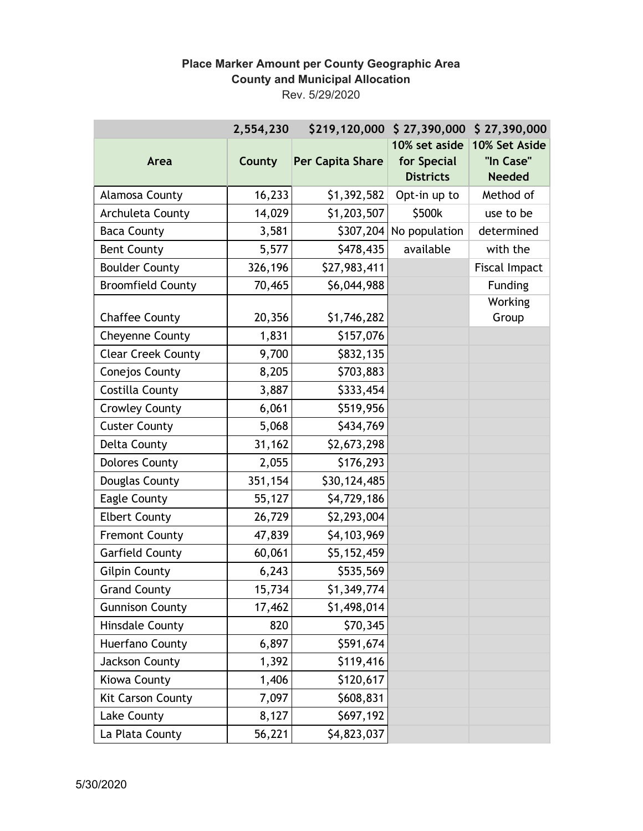## **Place Marker Amount per County Geographic Area County and Municipal Allocation** Rev. 5/29/2020

|                           | 2,554,230 | \$219,120,000    | \$27,390,000                                     | \$27,390,000                                |
|---------------------------|-----------|------------------|--------------------------------------------------|---------------------------------------------|
| Area                      | County    | Per Capita Share | 10% set aside<br>for Special<br><b>Districts</b> | 10% Set Aside<br>"In Case"<br><b>Needed</b> |
| Alamosa County            | 16,233    | \$1,392,582      | Opt-in up to                                     | Method of                                   |
| Archuleta County          | 14,029    | \$1,203,507      | \$500k                                           | use to be                                   |
| <b>Baca County</b>        | 3,581     | \$307,204        | No population                                    | determined                                  |
| <b>Bent County</b>        | 5,577     | \$478,435        | available                                        | with the                                    |
| <b>Boulder County</b>     | 326,196   | \$27,983,411     |                                                  | <b>Fiscal Impact</b>                        |
| <b>Broomfield County</b>  | 70,465    | \$6,044,988      |                                                  | Funding                                     |
| <b>Chaffee County</b>     | 20,356    | \$1,746,282      |                                                  | Working<br>Group                            |
| <b>Cheyenne County</b>    | 1,831     | \$157,076        |                                                  |                                             |
| <b>Clear Creek County</b> | 9,700     | \$832,135        |                                                  |                                             |
| Conejos County            | 8,205     | \$703,883        |                                                  |                                             |
| Costilla County           | 3,887     | \$333,454        |                                                  |                                             |
| <b>Crowley County</b>     | 6,061     | \$519,956        |                                                  |                                             |
| <b>Custer County</b>      | 5,068     | \$434,769        |                                                  |                                             |
| <b>Delta County</b>       | 31,162    | \$2,673,298      |                                                  |                                             |
| <b>Dolores County</b>     | 2,055     | \$176,293        |                                                  |                                             |
| Douglas County            | 351,154   | \$30,124,485     |                                                  |                                             |
| <b>Eagle County</b>       | 55,127    | \$4,729,186      |                                                  |                                             |
| <b>Elbert County</b>      | 26,729    | \$2,293,004      |                                                  |                                             |
| <b>Fremont County</b>     | 47,839    | \$4,103,969      |                                                  |                                             |
| <b>Garfield County</b>    | 60,061    | \$5,152,459      |                                                  |                                             |
| <b>Gilpin County</b>      | 6,243     | \$535,569        |                                                  |                                             |
| <b>Grand County</b>       | 15,734    | \$1,349,774      |                                                  |                                             |
| <b>Gunnison County</b>    | 17,462    | \$1,498,014      |                                                  |                                             |
| <b>Hinsdale County</b>    | 820       | \$70,345         |                                                  |                                             |
| Huerfano County           | 6,897     | \$591,674        |                                                  |                                             |
| Jackson County            | 1,392     | \$119,416        |                                                  |                                             |
| Kiowa County              | 1,406     | \$120,617        |                                                  |                                             |
| Kit Carson County         | 7,097     | \$608,831        |                                                  |                                             |
| Lake County               | 8,127     | \$697,192        |                                                  |                                             |
| La Plata County           | 56,221    | \$4,823,037      |                                                  |                                             |